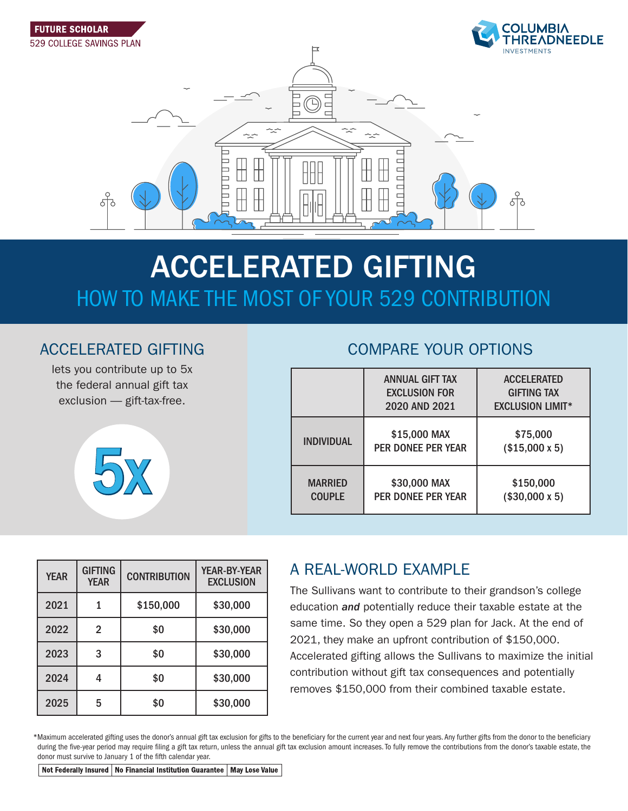

# ACCELERATED GIFTING HOW TO MAKE THE MOST OF YOUR 529 CONTRIBUTION

## ACCELERATED GIFTING

lets you contribute up to 5x the federal annual gift tax exclusion — gift-tax-free.



## COMPARE YOUR OPTIONS

|                                 | <b>ANNUAL GIFT TAX</b><br><b>EXCLUSION FOR</b><br>2020 AND 2021 | <b>ACCELERATED</b><br><b>GIFTING TAX</b><br><b>EXCLUSION LIMIT*</b> |
|---------------------------------|-----------------------------------------------------------------|---------------------------------------------------------------------|
| <b>INDIVIDUAL</b>               | \$15,000 MAX<br>PER DONEE PER YEAR                              | \$75,000<br>$($15,000 \times 5)$                                    |
| <b>MARRIED</b><br><b>COUPLE</b> | \$30,000 MAX<br><b>PER DONEE PER YEAR</b>                       | \$150,000<br>$($30,000 \times 5)$                                   |

| <b>YEAR</b> | <b>GIFTING</b><br><b>YEAR</b> | <b>CONTRIBUTION</b> | <b>YEAR-BY-YEAR</b><br><b>EXCLUSION</b> |
|-------------|-------------------------------|---------------------|-----------------------------------------|
| 2021        |                               | \$150,000           | \$30,000                                |
| 2022        | 2                             | \$0                 | \$30,000                                |
| 2023        | 3                             | \$0                 | \$30,000                                |
| 2024        |                               | \$0                 | \$30,000                                |
| 2025        | 5                             | \$0                 | \$30,000                                |

## A REAL-WORLD EXAMPLE

The Sullivans want to contribute to their grandson's college education *and* potentially reduce their taxable estate at the same time. So they open a 529 plan for Jack. At the end of 2021, they make an upfront contribution of \$150,000. Accelerated gifting allows the Sullivans to maximize the initial contribution without gift tax consequences and potentially removes \$150,000 from their combined taxable estate.

\*Maximum accelerated gifting uses the donor's annual gift tax exclusion for gifts to the beneficiary for the current year and next four years. Any further gifts from the donor to the beneficiary during the five-year period may require filing a gift tax return, unless the annual gift tax exclusion amount increases. To fully remove the contributions from the donor's taxable estate, the donor must survive to January 1 of the fifth calendar year.

Not Federally Insured | No Financial Institution Guarantee | May Lose Value